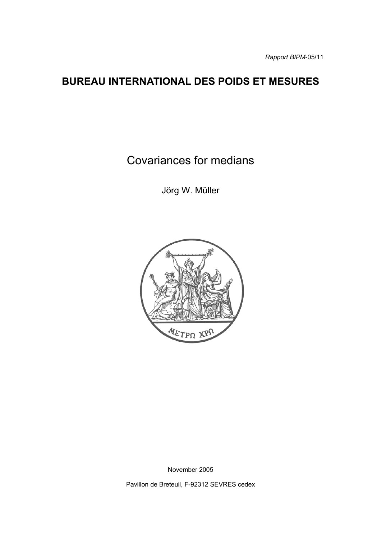# **BUREAU INTERNATIONAL DES POIDS ET MESURES**

Covariances for medians

Jörg W. Müller



November 2005

Pavillon de Breteuil, F-92312 SEVRES cedex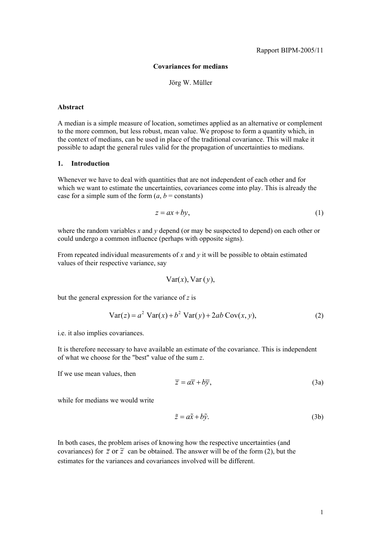## **Covariances for medians**

#### Jörg W. Müller

#### **Abstract**

A median is a simple measure of location, sometimes applied as an alternative or complement to the more common, but less robust, mean value. We propose to form a quantity which, in the context of medians, can be used in place of the traditional covariance. This will make it possible to adapt the general rules valid for the propagation of uncertainties to medians.

#### **1. Introduction**

Whenever we have to deal with quantities that are not independent of each other and for which we want to estimate the uncertainties, covariances come into play. This is already the case for a simple sum of the form  $(a, b = \text{constants})$ 

$$
z = ax + by,\tag{1}
$$

where the random variables *x* and *y* depend (or may be suspected to depend) on each other or could undergo a common influence (perhaps with opposite signs).

From repeated individual measurements of *x* and *y* it will be possible to obtain estimated values of their respective variance, say

$$
Var(x), Var(y),
$$

but the general expression for the variance of *z* is

$$
Var(z) = a2 Var(x) + b2 Var(y) + 2ab Cov(x, y),
$$
 (2)

i.e. it also implies covariances.

It is therefore necessary to have available an estimate of the covariance. This is independent of what we choose for the "best" value of the sum *z*.

If we use mean values, then

$$
\overline{z} = a\overline{x} + b\overline{y},\tag{3a}
$$

while for medians we would write

$$
\tilde{z} = a\tilde{x} + b\tilde{y}.\tag{3b}
$$

In both cases, the problem arises of knowing how the respective uncertainties (and covariances) for  $\overline{z}$  or  $\overline{z}$  can be obtained. The answer will be of the form (2), but the estimates for the variances and covariances involved will be different.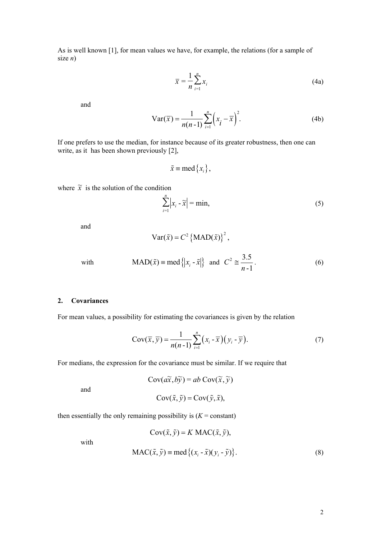As is well known [1], for mean values we have, for example, the relations (for a sample of size *n*)

$$
\overline{x} = \frac{1}{n} \sum_{i=1}^{n} x_i
$$
 (4a)

and

Var(
$$
\overline{x}
$$
) =  $\frac{1}{n(n-1)} \sum_{i=1}^{n} (x_i - \overline{x})^2$ . (4b)

If one prefers to use the median, for instance because of its greater robustness, then one can write, as it has been shown previously [2],

$$
\tilde{x} \equiv \text{med} \{x_i\},\
$$

where  $\tilde{x}$  is the solution of the condition

$$
\sum_{i=1}^{n} |x_i - \widetilde{x}| = \min,
$$
\n(5)

and

$$
Var(\tilde{x}) = C^2 \left\{ MAD(\tilde{x})\right\}^2,
$$

with 
$$
\text{MAD}(\tilde{x}) \equiv \text{med} \{ |x_i - \tilde{x}| \}
$$
 and  $C^2 \approx \frac{3.5}{n-1}$ . (6)

## **2. Covariances**

For mean values, a possibility for estimating the covariances is given by the relation

$$
Cov(\overline{x}, \overline{y}) = \frac{1}{n(n-1)} \sum_{i=1}^{n} (x_i - \overline{x})(y_i - \overline{y}).
$$
\n(7)

For medians, the expression for the covariance must be similar. If we require that

$$
Cov(a\tilde{x}, b\tilde{y}) = ab Cov(\tilde{x}, \tilde{y})
$$

$$
Cov(\tilde{x}, \tilde{y}) = Cov(\tilde{y}, \tilde{x}),
$$

then essentially the only remaining possibility is  $(K = constant)$ 

$$
Cov(\tilde{x}, \tilde{y}) = K MAC(\tilde{x}, \tilde{y}),
$$
  
MAC( $\tilde{x}, \tilde{y}$ ) = med { $(x_i - \tilde{x})(y_i - \tilde{y})$ }. (8)

with

and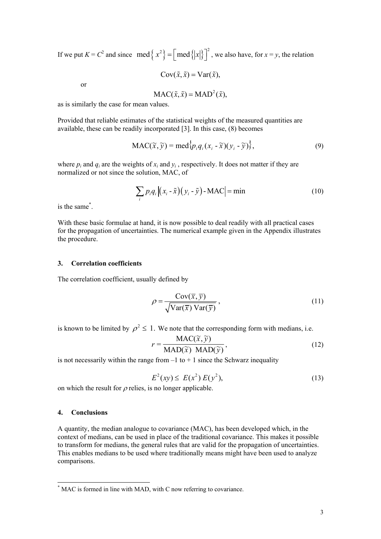If we put  $K = C^2$  and since  $\text{med} \left\{ x^2 \right\} = \left[ \text{med} \left\{ |x| \right\} \right]^2$ , we also have, for  $x = y$ , the relation

$$
Cov(\tilde{x}, \tilde{x}) = Var(\tilde{x}),
$$

or

$$
MAC(\tilde{x}, \tilde{x}) = MAD^2(\tilde{x}),
$$

as is similarly the case for mean values.

Provided that reliable estimates of the statistical weights of the measured quantities are available, these can be readily incorporated [3]. In this case, (8) becomes

$$
\text{MAC}(\widetilde{x}, \widetilde{y}) = \text{med}_{i}^{1} p_{i} q_{i} (x_{i} - \widetilde{x})(y_{i} - \widetilde{y}) \},\tag{9}
$$

where  $p_i$  and  $q_i$  are the weights of  $x_i$  and  $y_i$ , respectively. It does not matter if they are normalized or not since the solution, MAC, of

$$
\sum_{i} p_{i} q_{i} \left| (x_{i} - \tilde{x})(y_{i} - \tilde{y}) - \text{MAC} \right| = \min \tag{10}
$$

is the same[\\*](#page-3-0) .

With these basic formulae at hand, it is now possible to deal readily with all practical cases for the propagation of uncertainties. The numerical example given in the Appendix illustrates the procedure.

# **3. Correlation coefficients**

The correlation coefficient, usually defined by

$$
\rho = \frac{\text{Cov}(\overline{x}, \overline{y})}{\sqrt{\text{Var}(\overline{x}) \text{Var}(\overline{y})}},
$$
\n(11)

is known to be limited by  $\rho^2 \leq 1$ . We note that the corresponding form with medians, i.e.

$$
r = \frac{\text{MAC}(\widetilde{x}, \widetilde{y})}{\text{MAD}(\widetilde{x}) \text{ MAD}(\widetilde{y})},
$$
(12)

is not necessarily within the range from  $-1$  to  $+1$  since the Schwarz inequality

$$
E^{2}(xy) \le E(x^{2}) E(y^{2}), \tag{13}
$$

on which the result for  $\rho$  relies, is no longer applicable.

## **4. Conclusions**

l

A quantity, the median analogue to covariance (MAC), has been developed which, in the context of medians, can be used in place of the traditional covariance. This makes it possible to transform for medians, the general rules that are valid for the propagation of uncertainties. This enables medians to be used where traditionally means might have been used to analyze comparisons.

<span id="page-3-0"></span><sup>\*</sup> MAC is formed in line with MAD, with C now referring to covariance.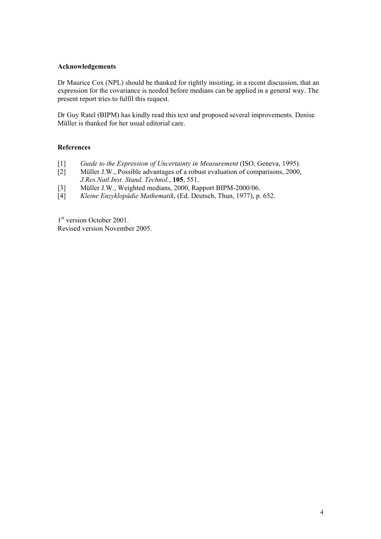# **Acknowledgements**

Dr Maurice Cox (NPL) should be thanked for rightly insisting, in a recent discussion, that an expression for the covariance is needed before medians can be applied in a general way. The present report tries to fulfil this request.

Dr Guy Ratel (BIPM) has kindly read this text and proposed several improvements. Denise Müller is thanked for her usual editorial care.

# **References**

- [1] *Guide to the Expression of Uncertainty in Measurement* (ISO, Geneva, 1995).
- [2] Müller J.W., Possible advantages of a robust evaluation of comparisons, 2000, *J.Res.Natl.Inst. Stand. Technol.*, **105**, 551.
- [3] Müller J.W., Weighted medians, 2000, Rapport BIPM-2000/06.
- [4] *Kleine Enzyklopädie Mathematik*, (Ed. Deutsch, Thun, 1977), p. 652.

1<sup>st</sup> version October 2001. Revised version November 2005.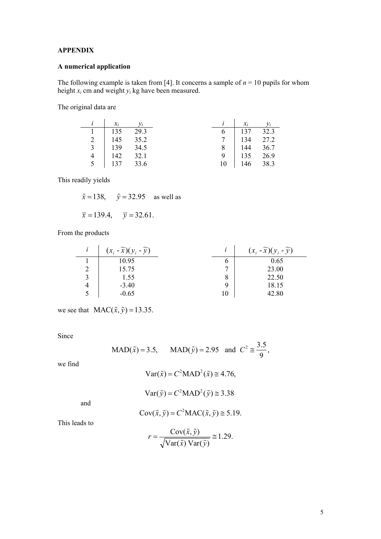# **APPENDIX**

# **A numerical application**

The following example is taken from [4]. It concerns a sample of  $n = 10$  pupils for whom height *xi* cm and weight *yi* kg have been measured.

The original data are

| $\mathcal{X}_i$ | $y_i$ |    | $\chi_i$       | $y_i$ |
|-----------------|-------|----|----------------|-------|
| $\vert$ 135     | 29.3  | 6  | $137$ 32.3     |       |
| 2   $145$       | 35.2  |    | 7   134   27.2 |       |
| 3   139         | 34.5  |    | 8   144 36.7   |       |
| $4 \mid 142$    | 32.1  | 9  | 135 26.9       |       |
| 5 137 33.6      |       | 10 | $146$ 38.3     |       |

This readily yields

 $\tilde{x} = 138$ ,  $\tilde{y} = 32.95$  as well as

$$
\bar{x} = 139.4, \quad \bar{y} = 32.61.
$$

From the products

|   | $(x_i - \widetilde{x})(y_i - \widetilde{y})$ |   | $(x_i - \widetilde{x})(y_i - \widetilde{y})$ |
|---|----------------------------------------------|---|----------------------------------------------|
|   | 10.95                                        | O | 0.65                                         |
|   | 15.75                                        |   | 23.00                                        |
| 3 | 1.55                                         | 8 | 22.50                                        |
| 4 | $-3.40$                                      | Q | 18.15                                        |
|   | $-0.65$                                      |   | 42.80                                        |

we see that  $MAC(\tilde{x}, \tilde{y}) = 13.35$ .

Since

$$
MAD(\tilde{x}) = 3.5, \qquad MAD(\tilde{y}) = 2.95 \quad \text{and} \quad C^2 \cong \frac{3.5}{9},
$$

we find

$$
Var(\tilde{x}) = C^2 MAD^2(\tilde{x}) \approx 4.76,
$$

$$
Var(\tilde{y}) = C^2 \text{MAD}^2(\tilde{y}) \cong 3.38
$$

and

$$
Cov(\tilde{x}, \tilde{y}) = C^2 MAC(\tilde{x}, \tilde{y}) \approx 5.19.
$$

This leads to

$$
r = \frac{\text{Cov}(\tilde{x}, \tilde{y})}{\sqrt{\text{Var}(\tilde{x}) \text{Var}(\tilde{y})}} \approx 1.29.
$$